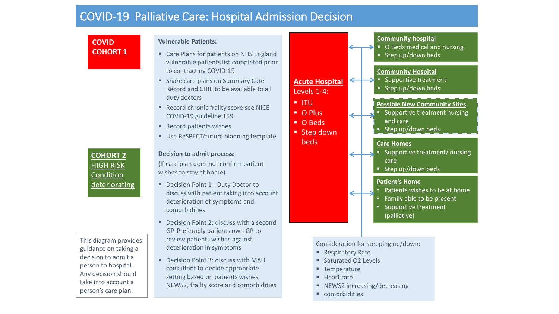## COVID-19 Palliative Care: Hospital Admission Decision

**COVID COHORT 1**

## **Vulnerable Patients:**

- Care Plans for patients on NHS England vulnerable patients list completed prior to contracting COVID-19
- **Share care plans on Summary Care** Record and CHIE to be available to all duty doctors
- Record chronic frailty score see NICE COVID-19 guideline 159
- Record patients wishes
- Use ReSPECT/future planning template

## **Decision to admit process:**

(If care plan does not confirm patient wishes to stay at home)

- Decision Point 1 Duty Doctor to discuss with patient taking into account deterioration of symptoms and comorbidities
- Decision Point 2: discuss with a second GP. Preferably patients own GP to review patients wishes against deterioration in symptoms
- Decision Point 3: discuss with MAU consultant to decide appropriate setting based on patients wishes, NEWS2, frailty score and comorbidities



Consideration for stepping up/down:

- Respiratory Rate
- Saturated O2 Levels
- **Temperature**
- Heart rate
- NEWS2 increasing/decreasing
- comorbidities

**COHORT 2**  HIGH RISK Condition deteriorating

This diagram provides guidance on taking a decision to admit a person to hospital. Any decision should take into account a person's care plan.